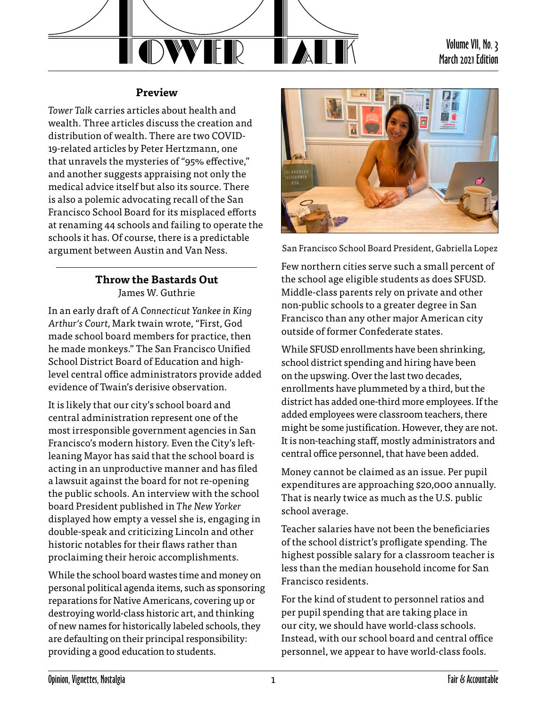

## **Preview**

*Tower Talk* carries articles about health and wealth. Three articles discuss the creation and distribution of wealth. There are two COVID-19-related articles by Peter Hertzmann, one that unravels the mysteries of "95% effective," and another suggests appraising not only the medical advice itself but also its source. There is also a polemic advocating recall of the San Francisco School Board for its misplaced efforts at renaming 44 schools and failing to operate the schools it has. Of course, there is a predictable argument between Austin and Van Ness.

## **Throw the Bastards Out** James W. Guthrie

In an early draft of *A Connecticut Yankee in King Arthur's Court,* Mark twain wrote, "First, God made school board members for practice, then he made monkeys." The San Francisco Unified School District Board of Education and highlevel central office administrators provide added evidence of Twain's derisive observation.

It is likely that our city's school board and central administration represent one of the most irresponsible government agencies in San Francisco's modern history. Even the City's leftleaning Mayor has said that the school board is acting in an unproductive manner and has filed a lawsuit against the board for not re-opening the public schools. An interview with the school board President published in *The New Yorker* displayed how empty a vessel she is, engaging in double-speak and criticizing Lincoln and other historic notables for their flaws rather than proclaiming their heroic accomplishments.

While the school board wastes time and money on personal political agenda items, such as sponsoring reparations for Native Americans, covering up or destroying world-class historic art, and thinking of new names for historically labeled schools, they are defaulting on their principal responsibility: providing a good education to students.



San Francisco School Board President, Gabriella Lopez

Few northern cities serve such a small percent of the school age eligible students as does SFUSD. Middle-class parents rely on private and other non-public schools to a greater degree in San Francisco than any other major American city outside of former Confederate states.

While SFUSD enrollments have been shrinking, school district spending and hiring have been on the upswing. Over the last two decades, enrollments have plummeted by a third, but the district has added one-third more employees. If the added employees were classroom teachers, there might be some justification. However, they are not. It is non-teaching staff, mostly administrators and central office personnel, that have been added.

Money cannot be claimed as an issue. Per pupil expenditures are approaching \$20,000 annually. That is nearly twice as much as the U.S. public school average.

Teacher salaries have not been the beneficiaries of the school district's profligate spending. The highest possible salary for a classroom teacher is less than the median household income for San Francisco residents.

For the kind of student to personnel ratios and per pupil spending that are taking place in our city, we should have world-class schools. Instead, with our school board and central office personnel, we appear to have world-class fools.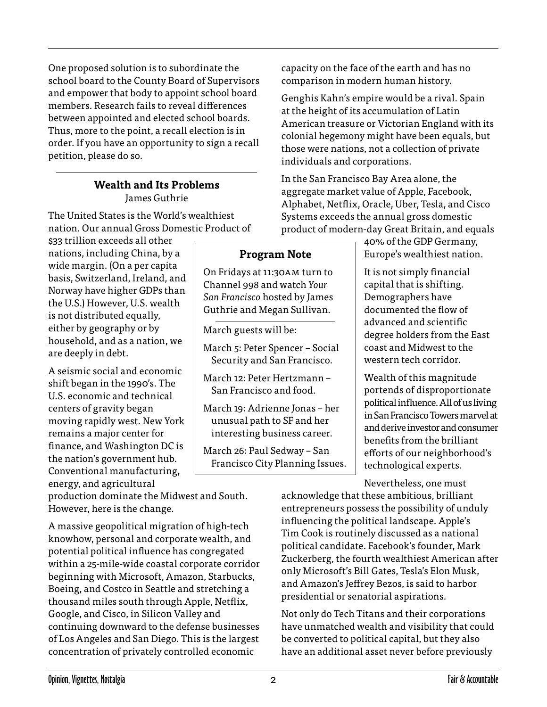One proposed solution is to subordinate the school board to the County Board of Supervisors and empower that body to appoint school board members. Research fails to reveal differences between appointed and elected school boards. Thus, more to the point, a recall election is in order. If you have an opportunity to sign a recall petition, please do so.

## **Wealth and Its Problems** James Guthrie

The United States is the World's wealthiest nation. Our annual Gross Domestic Product of

\$33 trillion exceeds all other nations, including China, by a wide margin. (On a per capita basis, Switzerland, Ireland, and Norway have higher GDPs than the U.S.) However, U.S. wealth is not distributed equally, either by geography or by household, and as a nation, we are deeply in debt.

A seismic social and economic shift began in the 1990's. The U.S. economic and technical centers of gravity began moving rapidly west. New York remains a major center for finance, and Washington DC is the nation's government hub. Conventional manufacturing, energy, and agricultural

production dominate the Midwest and South. However, here is the change.

A massive geopolitical migration of high-tech knowhow, personal and corporate wealth, and potential political influence has congregated within a 25-mile-wide coastal corporate corridor beginning with Microsoft, Amazon, Starbucks, Boeing, and Costco in Seattle and stretching a thousand miles south through Apple, Netflix, Google, and Cisco, in Silicon Valley and continuing downward to the defense businesses of Los Angeles and San Diego. This is the largest concentration of privately controlled economic

capacity on the face of the earth and has no comparison in modern human history.

Genghis Kahn's empire would be a rival. Spain at the height of its accumulation of Latin American treasure or Victorian England with its colonial hegemony might have been equals, but those were nations, not a collection of private individuals and corporations.

In the San Francisco Bay Area alone, the aggregate market value of Apple, Facebook, Alphabet, Netflix, Oracle, Uber, Tesla, and Cisco Systems exceeds the annual gross domestic product of modern-day Great Britain, and equals

> 40% of the GDP Germany, Europe's wealthiest nation.

It is not simply financial capital that is shifting. Demographers have documented the flow of advanced and scientific degree holders from the East coast and Midwest to the western tech corridor.

Wealth of this magnitude portends of disproportionate political influence. All of us living in San Francisco Towers marvel at and derive investor and consumer benefits from the brilliant efforts of our neighborhood's technological experts.

Nevertheless, one must

acknowledge that these ambitious, brilliant entrepreneurs possess the possibility of unduly influencing the political landscape. Apple's Tim Cook is routinely discussed as a national political candidate. Facebook's founder, Mark Zuckerberg, the fourth wealthiest American after only Microsoft's Bill Gates, Tesla's Elon Musk, and Amazon's Jeffrey Bezos, is said to harbor presidential or senatorial aspirations.

Not only do Tech Titans and their corporations have unmatched wealth and visibility that could be converted to political capital, but they also have an additional asset never before previously

**Program Note**

On Fridays at 11:30am turn to Channel 998 and watch *Your San Francisco* hosted by James Guthrie and Megan Sullivan.

March 5: Peter Spencer – Social Security and San Francisco.

March 12: Peter Hertzmann – San Francisco and food.

March 19: Adrienne Jonas – her unusual path to SF and her interesting business career.

March 26: Paul Sedway – San Francisco City Planning Issues.

March guests will be: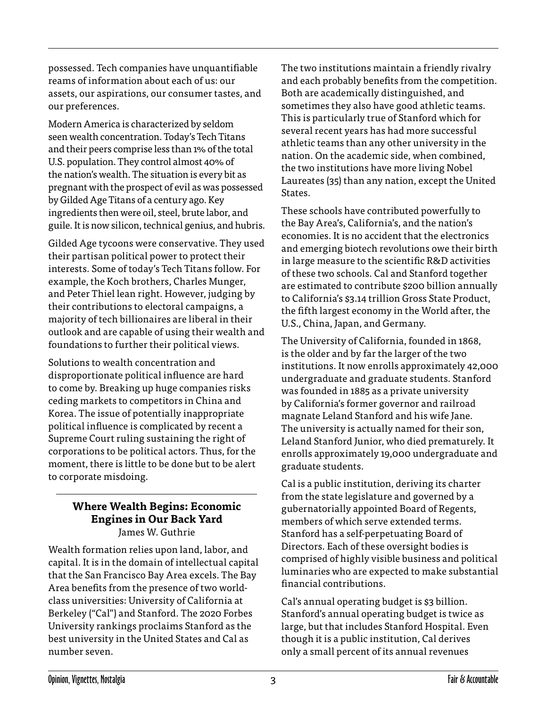possessed. Tech companies have unquantifiable reams of information about each of us: our assets, our aspirations, our consumer tastes, and our preferences.

Modern America is characterized by seldom seen wealth concentration. Today's Tech Titans and their peers comprise less than 1% of the total U.S. population. They control almost 40% of the nation's wealth. The situation is every bit as pregnant with the prospect of evil as was possessed by Gilded Age Titans of a century ago. Key ingredients then were oil, steel, brute labor, and guile. It is now silicon, technical genius, and hubris.

Gilded Age tycoons were conservative. They used their partisan political power to protect their interests. Some of today's Tech Titans follow. For example, the Koch brothers, Charles Munger, and Peter Thiel lean right. However, judging by their contributions to electoral campaigns, a majority of tech billionaires are liberal in their outlook and are capable of using their wealth and foundations to further their political views.

Solutions to wealth concentration and disproportionate political influence are hard to come by. Breaking up huge companies risks ceding markets to competitors in China and Korea. The issue of potentially inappropriate political influence is complicated by recent a Supreme Court ruling sustaining the right of corporations to be political actors. Thus, for the moment, there is little to be done but to be alert to corporate misdoing.

## **Where Wealth Begins: Economic Engines in Our Back Yard** James W. Guthrie

Wealth formation relies upon land, labor, and capital. It is in the domain of intellectual capital that the San Francisco Bay Area excels. The Bay Area benefits from the presence of two worldclass universities: University of California at Berkeley ("Cal") and Stanford. The 2020 Forbes University rankings proclaims Stanford as the best university in the United States and Cal as number seven.

The two institutions maintain a friendly rivalry and each probably benefits from the competition. Both are academically distinguished, and sometimes they also have good athletic teams. This is particularly true of Stanford which for several recent years has had more successful athletic teams than any other university in the nation. On the academic side, when combined, the two institutions have more living Nobel Laureates (35) than any nation, except the United States.

These schools have contributed powerfully to the Bay Area's, California's, and the nation's economies. It is no accident that the electronics and emerging biotech revolutions owe their birth in large measure to the scientific R&D activities of these two schools. Cal and Stanford together are estimated to contribute \$200 billion annually to California's \$3.14 trillion Gross State Product, the fifth largest economy in the World after, the U.S., China, Japan, and Germany.

The University of California, founded in 1868, is the older and by far the larger of the two institutions. It now enrolls approximately 42,000 undergraduate and graduate students. Stanford was founded in 1885 as a private university by California's former governor and railroad magnate Leland Stanford and his wife Jane. The university is actually named for their son, Leland Stanford Junior, who died prematurely. It enrolls approximately 19,000 undergraduate and graduate students.

Cal is a public institution, deriving its charter from the state legislature and governed by a gubernatorially appointed Board of Regents, members of which serve extended terms. Stanford has a self-perpetuating Board of Directors. Each of these oversight bodies is comprised of highly visible business and political luminaries who are expected to make substantial financial contributions.

Cal's annual operating budget is \$3 billion. Stanford's annual operating budget is twice as large, but that includes Stanford Hospital. Even though it is a public institution, Cal derives only a small percent of its annual revenues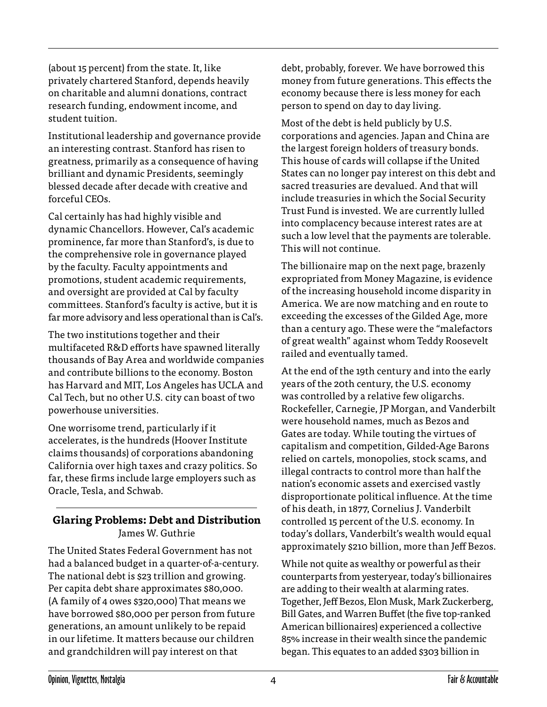(about 15 percent) from the state. It, like privately chartered Stanford, depends heavily on charitable and alumni donations, contract research funding, endowment income, and student tuition.

Institutional leadership and governance provide an interesting contrast. Stanford has risen to greatness, primarily as a consequence of having brilliant and dynamic Presidents, seemingly blessed decade after decade with creative and forceful CEOs.

Cal certainly has had highly visible and dynamic Chancellors. However, Cal's academic prominence, far more than Stanford's, is due to the comprehensive role in governance played by the faculty. Faculty appointments and promotions, student academic requirements, and oversight are provided at Cal by faculty committees. Stanford's faculty is active, but it is far more advisory and less operational than is Cal's.

The two institutions together and their multifaceted R&D efforts have spawned literally thousands of Bay Area and worldwide companies and contribute billions to the economy. Boston has Harvard and MIT, Los Angeles has UCLA and Cal Tech, but no other U.S. city can boast of two powerhouse universities.

One worrisome trend, particularly if it accelerates, is the hundreds (Hoover Institute claims thousands) of corporations abandoning California over high taxes and crazy politics. So far, these firms include large employers such as Oracle, Tesla, and Schwab.

# **Glaring Problems: Debt and Distribution** James W. Guthrie

The United States Federal Government has not had a balanced budget in a quarter-of-a-century. The national debt is \$23 trillion and growing. Per capita debt share approximates \$80,000. (A family of 4 owes \$320,000) That means we have borrowed \$80,000 per person from future generations, an amount unlikely to be repaid in our lifetime. It matters because our children and grandchildren will pay interest on that

debt, probably, forever. We have borrowed this money from future generations. This effects the economy because there is less money for each person to spend on day to day living.

Most of the debt is held publicly by U.S. corporations and agencies. Japan and China are the largest foreign holders of treasury bonds. This house of cards will collapse if the United States can no longer pay interest on this debt and sacred treasuries are devalued. And that will include treasuries in which the Social Security Trust Fund is invested. We are currently lulled into complacency because interest rates are at such a low level that the payments are tolerable. This will not continue.

The billionaire map on the next page, brazenly expropriated from Money Magazine, is evidence of the increasing household income disparity in America. We are now matching and en route to exceeding the excesses of the Gilded Age, more than a century ago. These were the "malefactors of great wealth" against whom Teddy Roosevelt railed and eventually tamed.

At the end of the 19th century and into the early years of the 20th century, the U.S. economy was controlled by a relative few oligarchs. Rockefeller, Carnegie, JP Morgan, and Vanderbilt were household names, much as Bezos and Gates are today. While touting the virtues of capitalism and competition, Gilded-Age Barons relied on cartels, monopolies, stock scams, and illegal contracts to control more than half the nation's economic assets and exercised vastly disproportionate political influence. At the time of his death, in 1877, Cornelius J. Vanderbilt controlled 15 percent of the U.S. economy. In today's dollars, Vanderbilt's wealth would equal approximately \$210 billion, more than Jeff Bezos.

While not quite as wealthy or powerful as their counterparts from yesteryear, today's billionaires are adding to their wealth at alarming rates. Together, Jeff Bezos, Elon Musk, Mark Zuckerberg, Bill Gates, and Warren Buffet (the five top-ranked American billionaires) experienced a collective 85% increase in their wealth since the pandemic began. This equates to an added \$303 billion in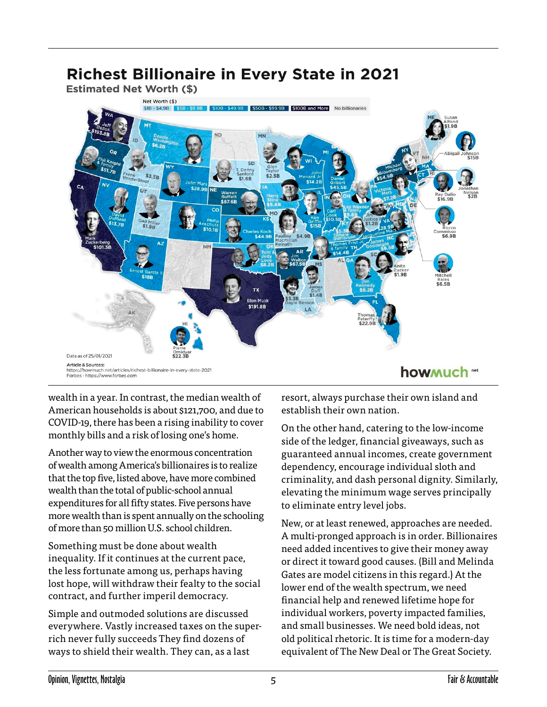# **Estimated Net Worth (\$)** Net Worth (\$) \$18.\$4.98 Q \$50B - \$99.9B \$100B and More No billionarie  $$3.5B$ **NM** Elon Musk \$191.8B Data as of 25/01/2021 **Article & Sources** https://howmuch.net/articles/richest-billionaire-in-every-state-2021 howmuch "" Forbes - https://www.forbes.com

**Richest Billionaire in Every State in 2021** 

wealth in a year. In contrast, the median wealth of American households is about \$121,700, and due to COVID-19, there has been a rising inability to cover monthly bills and a risk of losing one's home.

Another way to view the enormous concentration of wealth among America's billionaires is to realize that the top five, listed above, have more combined wealth than the total of public-school annual expenditures for all fifty states. Five persons have more wealth than is spent annually on the schooling of more than 50 million U.S. school children.

Something must be done about wealth inequality. If it continues at the current pace, the less fortunate among us, perhaps having lost hope, will withdraw their fealty to the social contract, and further imperil democracy.

Simple and outmoded solutions are discussed everywhere. Vastly increased taxes on the superrich never fully succeeds They find dozens of ways to shield their wealth. They can, as a last

resort, always purchase their own island and establish their own nation.

On the other hand, catering to the low-income side of the ledger, financial giveaways, such as guaranteed annual incomes, create government dependency, encourage individual sloth and criminality, and dash personal dignity. Similarly, elevating the minimum wage serves principally to eliminate entry level jobs.

New, or at least renewed, approaches are needed. A multi-pronged approach is in order. Billionaires need added incentives to give their money away or direct it toward good causes. (Bill and Melinda Gates are model citizens in this regard.) At the lower end of the wealth spectrum, we need financial help and renewed lifetime hope for individual workers, poverty impacted families, and small businesses. We need bold ideas, not old political rhetoric. It is time for a modern-day equivalent of The New Deal or The Great Society.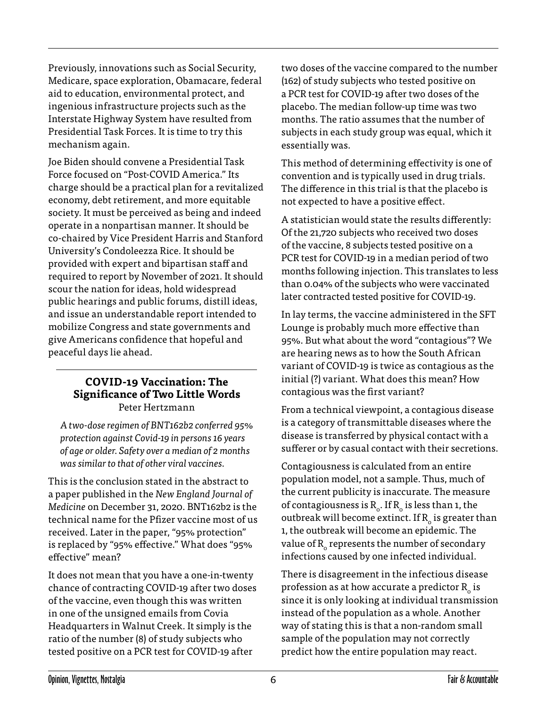Previously, innovations such as Social Security, Medicare, space exploration, Obamacare, federal aid to education, environmental protect, and ingenious infrastructure projects such as the Interstate Highway System have resulted from Presidential Task Forces. It is time to try this mechanism again.

Joe Biden should convene a Presidential Task Force focused on "Post-COVID America." Its charge should be a practical plan for a revitalized economy, debt retirement, and more equitable society. It must be perceived as being and indeed operate in a nonpartisan manner. It should be co-chaired by Vice President Harris and Stanford University's Condoleezza Rice. It should be provided with expert and bipartisan staff and required to report by November of 2021. It should scour the nation for ideas, hold widespread public hearings and public forums, distill ideas, and issue an understandable report intended to mobilize Congress and state governments and give Americans confidence that hopeful and peaceful days lie ahead.

## **COVID-19 Vaccination: The Significance of Two Little Words** Peter Hertzmann

*A two-dose regimen of BNT162b2 conferred 95% protection against Covid-19 in persons 16 years of age or older. Safety over a median of 2 months was similar to that of other viral vaccines.*

This is the conclusion stated in the abstract to a paper published in the *New England Journal of Medicine* on December 31, 2020. BNT162b2 is the technical name for the Pfizer vaccine most of us received. Later in the paper, "95% protection" is replaced by "95% effective." What does "95% effective" mean?

It does not mean that you have a one-in-twenty chance of contracting COVID-19 after two doses of the vaccine, even though this was written in one of the unsigned emails from Covia Headquarters in Walnut Creek. It simply is the ratio of the number (8) of study subjects who tested positive on a PCR test for COVID-19 after

two doses of the vaccine compared to the number (162) of study subjects who tested positive on a PCR test for COVID-19 after two doses of the placebo. The median follow-up time was two months. The ratio assumes that the number of subjects in each study group was equal, which it essentially was.

This method of determining effectivity is one of convention and is typically used in drug trials. The difference in this trial is that the placebo is not expected to have a positive effect.

A statistician would state the results differently: Of the 21,720 subjects who received two doses of the vaccine, 8 subjects tested positive on a PCR test for COVID-19 in a median period of two months following injection. This translates to less than 0.04% of the subjects who were vaccinated later contracted tested positive for COVID-19.

In lay terms, the vaccine administered in the SFT Lounge is probably much more effective than 95%. But what about the word "contagious"? We are hearing news as to how the South African variant of COVID-19 is twice as contagious as the initial (?) variant. What does this mean? How contagious was the first variant?

From a technical viewpoint, a contagious disease is a category of transmittable diseases where the disease is transferred by physical contact with a sufferer or by casual contact with their secretions.

Contagiousness is calculated from an entire population model, not a sample. Thus, much of the current publicity is inaccurate. The measure of contagiousness is  $R_0$ . If  $R_0$  is less than 1, the outbreak will become extinct. If  $R_{\alpha}$  is greater than 1, the outbreak will become an epidemic. The value of  $R_0$  represents the number of secondary infections caused by one infected individual.

There is disagreement in the infectious disease profession as at how accurate a predictor  $R_0$  is since it is only looking at individual transmission instead of the population as a whole. Another way of stating this is that a non-random small sample of the population may not correctly predict how the entire population may react.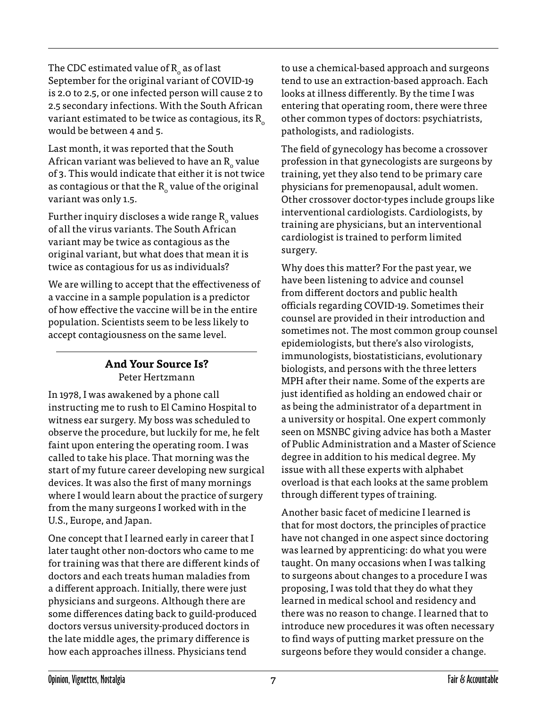The CDC estimated value of  $R_0$  as of last September for the original variant of COVID-19 is 2.0 to 2.5, or one infected person will cause 2 to 2.5 secondary infections. With the South African variant estimated to be twice as contagious, its  $R_0$ would be between 4 and 5.

Last month, it was reported that the South African variant was believed to have an  $R_0$  value of 3. This would indicate that either it is not twice as contagious or that the  $R_0$  value of the original variant was only 1.5.

Further inquiry discloses a wide range  $R_0$  values of all the virus variants. The South African variant may be twice as contagious as the original variant, but what does that mean it is twice as contagious for us as individuals?

We are willing to accept that the effectiveness of a vaccine in a sample population is a predictor of how effective the vaccine will be in the entire population. Scientists seem to be less likely to accept contagiousness on the same level.

# **And Your Source Is?** Peter Hertzmann

In 1978, I was awakened by a phone call instructing me to rush to El Camino Hospital to witness ear surgery. My boss was scheduled to observe the procedure, but luckily for me, he felt faint upon entering the operating room. I was called to take his place. That morning was the start of my future career developing new surgical devices. It was also the first of many mornings where I would learn about the practice of surgery from the many surgeons I worked with in the U.S., Europe, and Japan.

One concept that I learned early in career that I later taught other non-doctors who came to me for training was that there are different kinds of doctors and each treats human maladies from a different approach. Initially, there were just physicians and surgeons. Although there are some differences dating back to guild-produced doctors versus university-produced doctors in the late middle ages, the primary difference is how each approaches illness. Physicians tend

to use a chemical-based approach and surgeons tend to use an extraction-based approach. Each looks at illness differently. By the time I was entering that operating room, there were three other common types of doctors: psychiatrists, pathologists, and radiologists.

The field of gynecology has become a crossover profession in that gynecologists are surgeons by training, yet they also tend to be primary care physicians for premenopausal, adult women. Other crossover doctor-types include groups like interventional cardiologists. Cardiologists, by training are physicians, but an interventional cardiologist is trained to perform limited surgery.

Why does this matter? For the past year, we have been listening to advice and counsel from different doctors and public health officials regarding COVID-19. Sometimes their counsel are provided in their introduction and sometimes not. The most common group counsel epidemiologists, but there's also virologists, immunologists, biostatisticians, evolutionary biologists, and persons with the three letters MPH after their name. Some of the experts are just identified as holding an endowed chair or as being the administrator of a department in a university or hospital. One expert commonly seen on MSNBC giving advice has both a Master of Public Administration and a Master of Science degree in addition to his medical degree. My issue with all these experts with alphabet overload is that each looks at the same problem through different types of training.

Another basic facet of medicine I learned is that for most doctors, the principles of practice have not changed in one aspect since doctoring was learned by apprenticing: do what you were taught. On many occasions when I was talking to surgeons about changes to a procedure I was proposing, I was told that they do what they learned in medical school and residency and there was no reason to change. I learned that to introduce new procedures it was often necessary to find ways of putting market pressure on the surgeons before they would consider a change.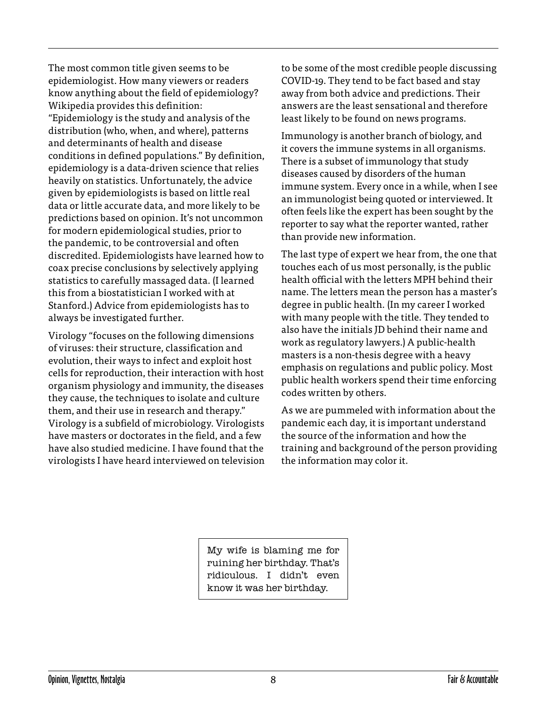The most common title given seems to be epidemiologist. How many viewers or readers know anything about the field of epidemiology? Wikipedia provides this definition: "Epidemiology is the study and analysis of the distribution (who, when, and where), patterns and determinants of health and disease conditions in defined populations." By definition, epidemiology is a data-driven science that relies heavily on statistics. Unfortunately, the advice given by epidemiologists is based on little real data or little accurate data, and more likely to be predictions based on opinion. It's not uncommon for modern epidemiological studies, prior to the pandemic, to be controversial and often discredited. Epidemiologists have learned how to coax precise conclusions by selectively applying statistics to carefully massaged data. (I learned this from a biostatistician I worked with at Stanford.) Advice from epidemiologists has to always be investigated further.

Virology "focuses on the following dimensions of viruses: their structure, classification and evolution, their ways to infect and exploit host cells for reproduction, their interaction with host organism physiology and immunity, the diseases they cause, the techniques to isolate and culture them, and their use in research and therapy." Virology is a subfield of microbiology. Virologists have masters or doctorates in the field, and a few have also studied medicine. I have found that the virologists I have heard interviewed on television to be some of the most credible people discussing COVID-19. They tend to be fact based and stay away from both advice and predictions. Their answers are the least sensational and therefore least likely to be found on news programs.

Immunology is another branch of biology, and it covers the immune systems in all organisms. There is a subset of immunology that study diseases caused by disorders of the human immune system. Every once in a while, when I see an immunologist being quoted or interviewed. It often feels like the expert has been sought by the reporter to say what the reporter wanted, rather than provide new information.

The last type of expert we hear from, the one that touches each of us most personally, is the public health official with the letters MPH behind their name. The letters mean the person has a master's degree in public health. (In my career I worked with many people with the title. They tended to also have the initials JD behind their name and work as regulatory lawyers.) A public-health masters is a non-thesis degree with a heavy emphasis on regulations and public policy. Most public health workers spend their time enforcing codes written by others.

As we are pummeled with information about the pandemic each day, it is important understand the source of the information and how the training and background of the person providing the information may color it.

My wife is blaming me for ruining her birthday. That's ridiculous. I didn't even know it was her birthday.